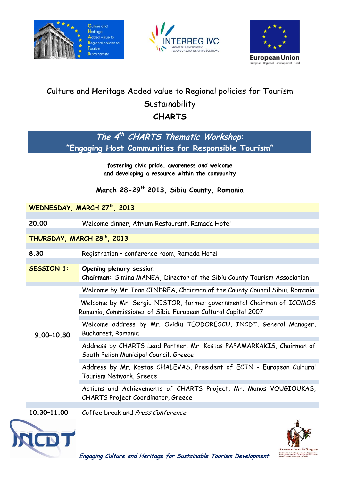





# **C**ulture and **H**eritage **A**dded value to **R**egional policies for **T**ourism **S**ustainability **CHARTS**

**The 4 th CHARTS Thematic Workshop: "Engaging Host Communities for Responsible Tourism"**

> **fostering civic pride, awareness and welcome and developing a resource within the community**

## **March 28-29th 2013, Sibiu County, Romania**

#### **WEDNESDAY, MARCH 27th, 2013**

**20.00** Welcome dinner, Atrium Restaurant, Ramada Hotel

**THURSDAY, MARCH 28th, 2013**

**8.30** Registration – conference room, Ramada Hotel

**SESSION 1: Opening plenary session**

**Chairman:** Simina MANEA, Director of the Sibiu County Tourism Association

Welcome by Mr. Ioan CINDREA, Chairman of the County Council Sibiu, Romania

Welcome by Mr. Sergiu NISTOR, former governmental Chairman of ICOMOS Romania, Commissioner of Sibiu European Cultural Capital 2007

Welcome address by Mr. Ovidiu TEODORESCU, INCDT, General Manager, Bucharest, Romania

Address by CHARTS Lead Partner, Mr. Kostas PAPAMARKAKIS, Chairman of South Pelion Municipal Council, Greece

Address by Mr. Kostas CHALEVAS, President of ECTN - European Cultural Tourism Network, Greece

Actions and Achievements of CHARTS Project, Mr. Manos VOUGIOUKAS, CHARTS Project Coordinator, Greece

**10.30–11.00** Coffee break and Press Conference



**9.00–10.30**

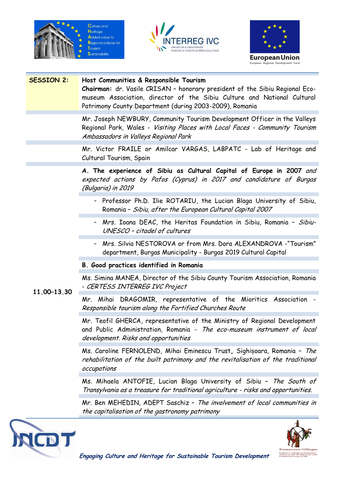







### **SESSION 2: Host Communities & Responsible Tourism**

**Chairman:** dr. Vasile CRISAN – honorary president of the Sibiu Regional Ecomuseum Association, director of the Sibiu Culture and National Cultural Patrimony County Department (during 2003-2009), Romania

Mr. Joseph NEWBURY, Community Tourism Development Officer in the Valleys Regional Park, Wales - Visiting Places with Local Faces - Community Tourism Ambassadors in Valleys Regional Park

Mr. Victor FRAILE or Amilcar VARGAS, LABPATC - Lab of Heritage and Cultural Tourism, Spain

**A. The experience of Sibiu as Cultural Capital of Europe in 2007** and expected actions by Pafos (Cyprus) in 2017 and candidature of Burgas (Bulgaria) in 2019

- Professor Ph.D. Ilie ROTARIU, the Lucian Blaga University of Sibiu, Romania – Sibiu, after the European Cultural Capital 2007
- Mrs. Ioana DEAC, the Heritas Foundation in Sibiu, Romania Sibiu-UNESCO – citadel of cultures
- Mrs. Silvia NESTOROVA or from Mrs. Dora ALEXANDROVA -"Tourism" department, Burgas Municipality - Burgas 2019 Cultural Capital

### **B. Good practices identified in Romania**

Ms. Simina MANEA, Director of the Sibiu County Tourism Association, Romania - CERTESS INTERREG IVC Project

### **11.00–13.30**

Mr. Mihai DRAGOMIR, representative of the Mioritics Association - Responsible tourism along the Fortified Churches Route

Mr. Teofil GHERCA, representative of the Ministry of Regional Development and Public Administration, Romania - The eco-museum instrument of local development. Risks and opportunities

Ms. Caroline FERNOLEND, Mihai Eminescu Trust**,** Sighișoara, Romania – The rehabilitation of the built patrimony and the revitalisation of the traditional occupations

Ms. Mihaela ANTOFIE, Lucian Blaga University of Sibiu – The South of Transylvania as a treasure for traditional agriculture - risks and opportunities.

Mr. Ben MEHEDIN, ADEPT Saschiz – The involvement of local communities in the capitalisation of the gastronomy patrimony